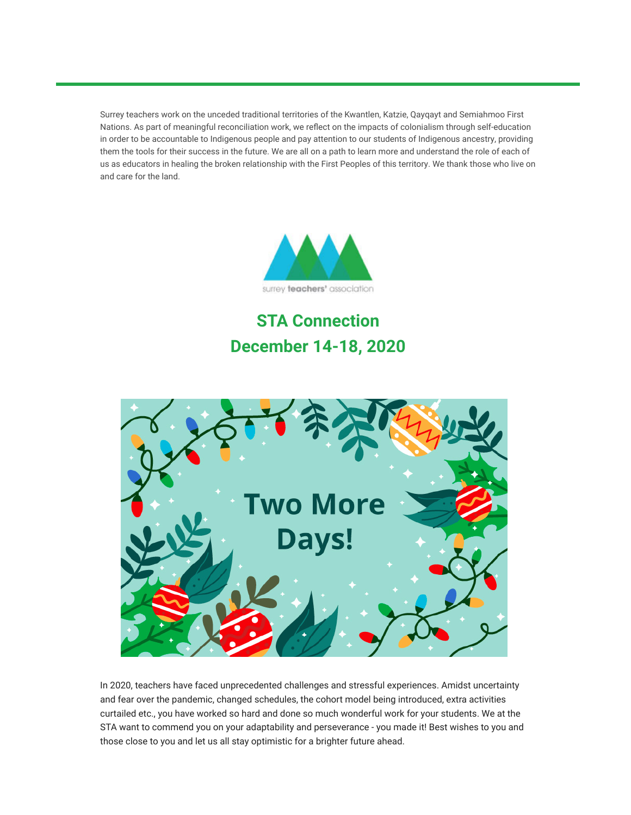Surrey teachers work on the unceded traditional territories of the Kwantlen, Katzie, Qayqayt and Semiahmoo First Nations. As part of meaningful reconciliation work, we reflect on the impacts of colonialism through self-education in order to be accountable to Indigenous people and pay attention to our students of Indigenous ancestry, providing them the tools for their success in the future. We are all on a path to learn more and understand the role of each of us as educators in healing the broken relationship with the First Peoples of this territory. We thank those who live on and care for the land.



# **STA Connection December 14-18, 2020**



In 2020, teachers have faced unprecedented challenges and stressful experiences. Amidst uncertainty and fear over the pandemic, changed schedules, the cohort model being introduced, extra activities curtailed etc., you have worked so hard and done so much wonderful work for your students. We at the STA want to commend you on your adaptability and perseverance - you made it! Best wishes to you and those close to you and let us all stay optimistic for a brighter future ahead.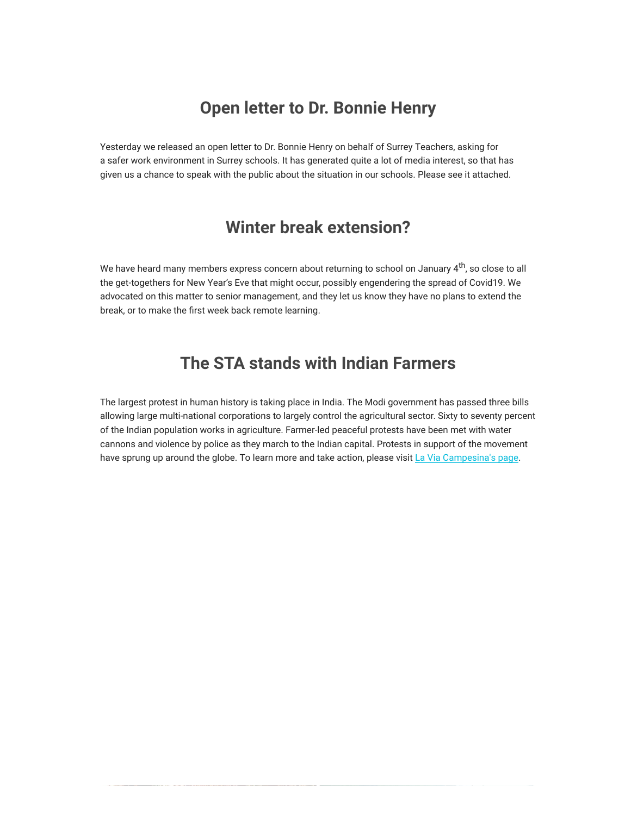### **Open letter to Dr. Bonnie Henry**

Yesterday we released an open letter to Dr. Bonnie Henry on behalf of Surrey Teachers, asking for a safer work environment in Surrey schools. It has generated quite a lot of media interest, so that has given us a chance to speak with the public about the situation in our schools. Please see it attached.

## **Winter break extension?**

We have heard many members express concern about returning to school on January 4<sup>th</sup>, so close to all the get-togethers for New Year's Eve that might occur, possibly engendering the spread of Covid19. We advocated on this matter to senior management, and they let us know they have no plans to extend the break, or to make the first week back remote learning.

### **The STA stands with Indian Farmers**

The largest protest in human history is taking place in India. The Modi government has passed three bills allowing large multi-national corporations to largely control the agricultural sector. Sixty to seventy percent of the Indian population works in agriculture. Farmer-led peaceful protests have been met with water cannons and violence by police as they march to the Indian capital. Protests in support of the movement have sprung up around the globe. To learn more and take action, please visit [La Via Campesina's page.](https://viacampesina.org/en/indias-farmers-seek-urgent-solidarity-globalise-the-struggle-globalise-hope/)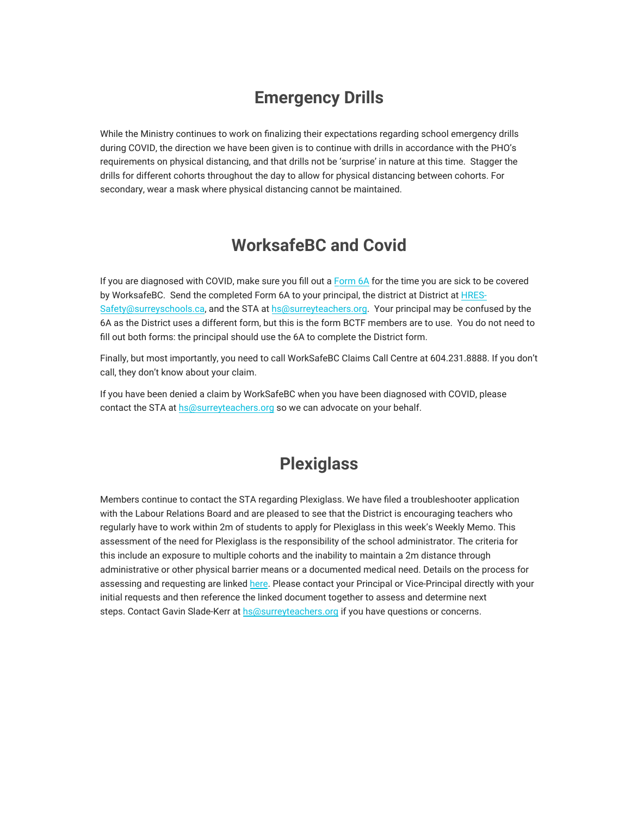# **Emergency Drills**

While the Ministry continues to work on finalizing their expectations regarding school emergency drills during COVID, the direction we have been given is to continue with drills in accordance with the PHO's requirements on physical distancing, and that drills not be 'surprise' in nature at this time. Stagger the drills for different cohorts throughout the day to allow for physical distancing between cohorts. For secondary, wear a mask where physical distancing cannot be maintained.

# **WorksafeBC and Covid**

If you are diagnosed with COVID, make sure you fill out a [F](https://surreyteachers.us20.list-manage.com/track/click?u=37ec644ae87e34b54b3912660&id=ba061783a0&e=7261da6bdb)[orm 6A](https://surreyteachers.us20.list-manage.com/track/click?u=37ec644ae87e34b54b3912660&id=f6a8f21eb8&e=7261da6bdb) for the time you are sick to be covered by WorksafeBC. Send the completed Form 6A to your principal, the district at District at HRESSafety@surreyschools.ca, and the STA at [hs@surreyteachers.org](mailto:hs@surreyteachers.org). Your principal may be confused by the 6A as the District uses a different form, but this is the form BCTF members are to use. You do not need to fill out both forms: the principal should use the 6A to complete the District form.

Finally, but most importantly, you need to call WorkSafeBC Claims Call Centre at 604.231.8888. If you don't call, they don't know about your claim.

If you have been denied a claim by WorkSafeBC when you have been diagnosed with COVID, please contact the STA at [hs@surreyteachers.org](mailto:hs@surreyteachers.org) so we can advocate on your behalf.

# **Plexiglass**

Members continue to contact the STA regarding Plexiglass. We have filed a troubleshooter application with the Labour Relations Board and are pleased to see that the District is encouraging teachers who [regularly have to work within 2m of students to apply for Plexiglass in this week's Weekly Mem](mailto:HRES-Safety@surreyschools.ca)o. This assessment of the need for Plexiglass is the responsibility of the school administrator. The criteria for this include an exposure to multiple cohorts and the inability to maintain a 2m distance through administrative or other physical barrier means or a documented medical need. Details on the process for assessing and requesting are linked [here](https://www.surreyschools.ca/ProgramsAndServices/HESA/safety_work/hazard_assessment/Documents/PlexiGlass%20Assessment%20and%20Request%20Process.pdf). Please contact your Principal or Vice-Principal directly with your initial requests and then reference the linked document together to assess and determine next steps. Contact Gavin Slade-Kerr at [hs@surreyteachers.org](mailto:hs@surreyteachers.org) if you have questions or concerns.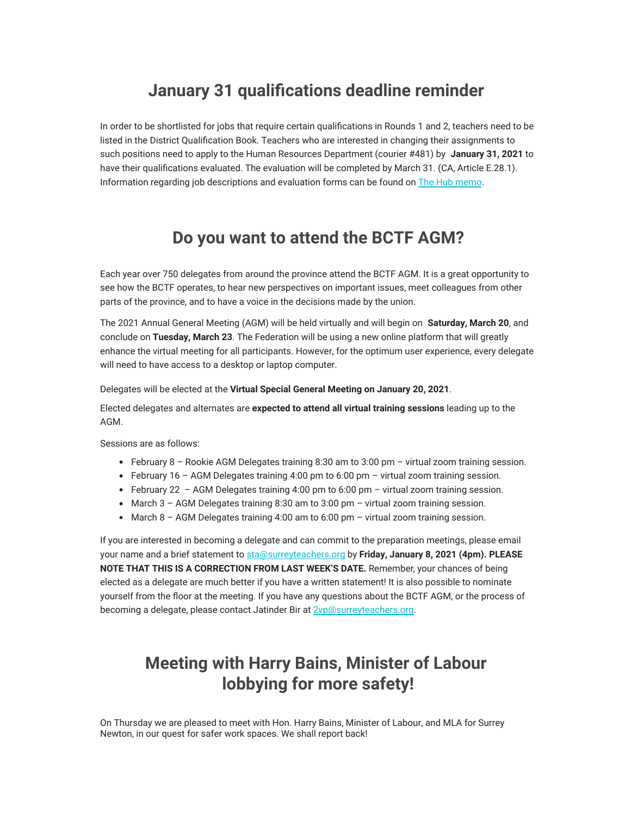## **January 31 qualifications deadline reminder**

In order to be shortlisted for jobs that require certain qualifications in Rounds 1 and 2, teachers need to be listed in the District Qualification Book. Teachers who are interested in changing their assignments to such positions need to apply to the Human Resources Department (courier #481) by **January 31, 2021** to have their qualifications evaluated. The evaluation will be completed by March 31. (CA, Article E.28.1). Information regarding job descriptions and evaluation forms can be found on [The Hub memo.](https://surreyteachers.us20.list-manage.com/track/click?u=37ec644ae87e34b54b3912660&id=b59739966c&e=7261da6bdb)

## **Do you want to attend the BCTF AGM?**

Each year over 750 delegates from around the province attend the BCTF AGM. It is a great opportunity to see how the BCTF operates, to hear new perspectives on important issues, meet colleagues from other parts of the province, and to have a voice in the decisions made by the union.

The 2021 Annual General Meeting (AGM) will be held virtually and will begin on **Saturday, March 20**, and conclude on **Tuesday, March 23**. The Federation will be using a new online platform that will greatly enhance the virtual meeting for all participants. However, for the optimum user experience, every delegate will need to have access to a desktop or laptop computer.

Delegates will be elected at the **Virtual Special General Meeting on January 20, 2021**.

Elected delegates and alternates are **expected to attend all virtual training sessions** leading up to the AGM.

Sessions are as follows:

- February  $8$  Rookie AGM Delegates training 8:30 am to 3:00 pm virtual zoom training session.
- February 16 AGM Delegates training 4:00 pm to 6:00 pm virtual zoom training session.
- February 22 AGM Delegates training 4:00 pm to 6:00 pm virtual zoom training session.
- March 3 AGM Delegates training 8:30 am to 3:00 pm virtual zoom training session.
- $\bullet$  March 8 AGM Delegates training 4:00 am to 6:00 pm virtual zoom training session.

If you are interested in becoming a delegate and can commit to the preparation meetings, please email your name and a brief statement to [sta@surreyteachers.org](mailto:sta@surreyteachers.org) by **Friday, January 8, 2021 (4pm). PLEASE NOTE THAT THIS IS A CORRECTION FROM LAST WEEK'S DATE.** Remember, your chances of being elected as a delegate are much better if you have a written statement! It is also possible to nominate yourself from the floor at the meeting. If you have any questions about the BCTF AGM, or the process of becoming a delegate, please contact Jatinder Bir at **2vp**@surreyteachers.org.

# **Meeting with Harry Bains, Minister of Labour lobbying for more safety!**

On Thursday we are pleased to meet with Hon. Harry Bains, Minister of Labour, and MLA for Surrey Newton, in our quest for safer work spaces. We shall report back!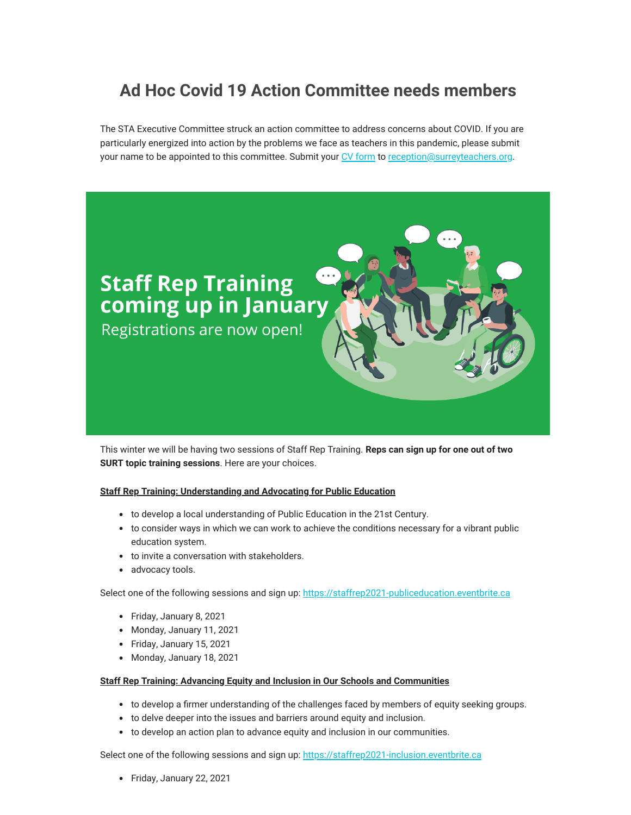# **Ad Hoc Covid 19 Action Committee needs members**

The STA Executive Committee struck an action committee to address concerns about COVID. If you are particularly energized into action by the problems we face as teachers in this pandemic, please submit your name to be appointed to this committee. Submit your [CV form](https://surreyteachers.us20.list-manage.com/track/click?u=37ec644ae87e34b54b3912660&id=690dd5b31d&e=7261da6bdb) to [reception@surreyteachers.org.](https://surreyteachers.us20.list-manage.com/track/click?u=37ec644ae87e34b54b3912660&id=bff686f1fe&e=7261da6bdb)



This winter we will be having two sessions of Staff Rep Training. **Reps can sign up for one out of two SURT topic training sessions**. Here are your choices.

#### **Staff Rep Training: Understanding and Advocating for Public Education**

- to develop a local understanding of Public Education in the 21st Century.
- to consider ways in which we can work to achieve the conditions necessary for a vibrant public education system.
- to invite a conversation with stakeholders.
- advocacy tools.

Select one of the following sessions and sign up: [https://staffrep2021-publiceducation.eventbrite.ca](https://surreyteachers.us20.list-manage.com/track/click?u=37ec644ae87e34b54b3912660&id=8669641ff5&e=7261da6bdb)

- Friday, January 8, 2021
- Monday, January 11, 2021
- Friday, January 15, 2021
- Monday, January 18, 2021

#### **Staff Rep Training: Advancing Equity and Inclusion in Our Schools and Communities**

- to develop a firmer understanding of the challenges faced by members of equity seeking groups.
- to delve deeper into the issues and barriers around equity and inclusion.
- to develop an action plan to advance equity and inclusion in our communities.

Select one of the following sessions and sign up: [https://staffrep2021-inclusion.eventbrite.ca](https://surreyteachers.us20.list-manage.com/track/click?u=37ec644ae87e34b54b3912660&id=1a6cd8cf63&e=7261da6bdb)

Friday, January 22, 2021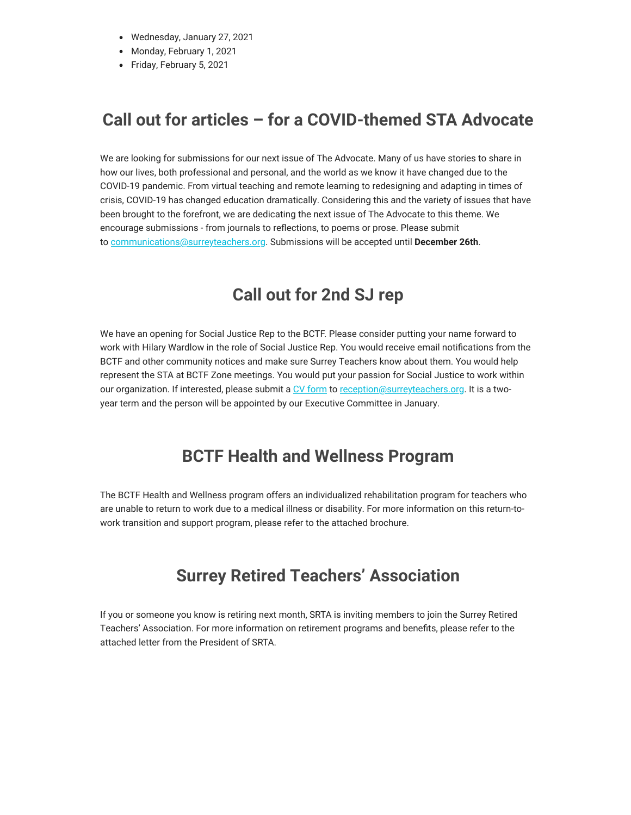- Wednesday, January 27, 2021
- Monday, February 1, 2021
- Friday, February 5, 2021

# **Call out for articles – for a COVID-themed STA Advocate**

We are looking for submissions for our next issue of The Advocate. Many of us have stories to share in how our lives, both professional and personal, and the world as we know it have changed due to the COVID-19 pandemic. From virtual teaching and remote learning to redesigning and adapting in times of crisis, COVID-19 has changed education dramatically. Considering this and the variety of issues that have been brought to the forefront, we are dedicating the next issue of The Advocate to this theme. We encourage submissions - from journals to reflections, to poems or prose. Please submit to [communications@surreyteachers.org.](mailto:communications@surreyteachers.org) Submissions will be accepted until **December 26th**.

## **Call out for 2nd SJ rep**

We have an opening for Social Justice Rep to the BCTF. Please consider putting your name forward to work with Hilary Wardlow in the role of Social Justice Rep. You would receive email notifications from the BCTF and other community notices and make sure Surrey Teachers know about them. You would help represent the STA at BCTF Zone meetings. You would put your passion for Social Justice to work within our organization. If interested, please submit a [CV form](https://surreyteachers.us20.list-manage.com/track/click?u=37ec644ae87e34b54b3912660&id=e7ac877660&e=7261da6bdb) to [reception@surreyteachers.org.](mailto:reception@surreyteachers.org) It is a twoyear term and the person will be appointed by our Executive Committee in January.

### **BCTF Health and Wellness Program**

The BCTF Health and Wellness program offers an individualized rehabilitation program for teachers who are unable to return to work due to a medical illness or disability. For more information on this return-towork transition and support program, please refer to the attached brochure.

### **Surrey Retired Teachers' Association**

If you or someone you know is retiring next month, SRTA is inviting members to join the Surrey Retired Teachers' Association. For more information on retirement programs and benefits, please refer to the attached letter from the President of SRTA.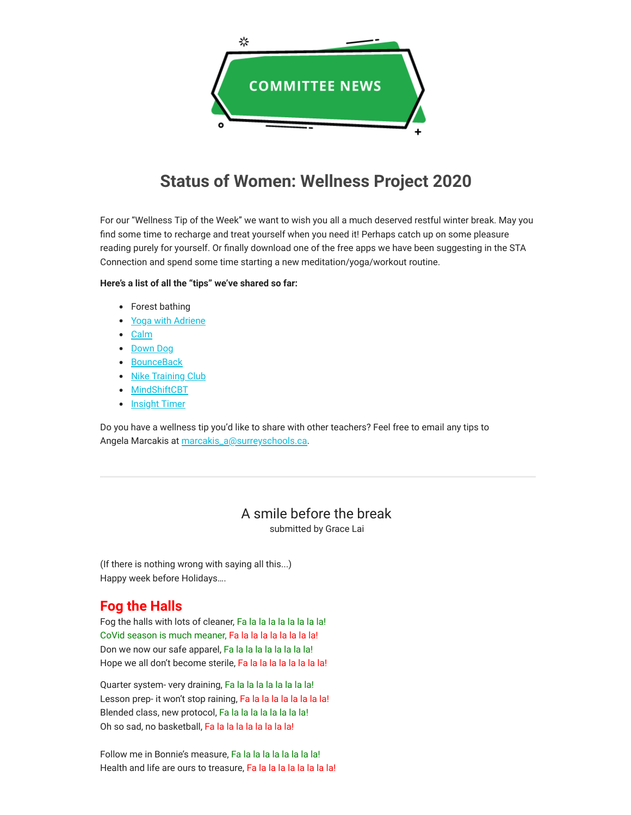![](_page_6_Picture_0.jpeg)

# **Status of Women: Wellness Project 2020**

For our "Wellness Tip of the Week" we want to wish you all a much deserved restful winter break. May you find some time to recharge and treat yourself when you need it! Perhaps catch up on some pleasure reading purely for yourself. Or finally download one of the free apps we have been suggesting in the STA Connection and spend some time starting a new meditation/yoga/workout routine.

#### **Here's a list of all the "tips" we've shared so far:**

- Forest bathing
- [Yoga with Adriene](https://surreyteachers.us20.list-manage.com/track/click?u=37ec644ae87e34b54b3912660&id=021f7b3445&e=7261da6bdb)
- [Calm](https://surreyteachers.us20.list-manage.com/track/click?u=37ec644ae87e34b54b3912660&id=8e6116b801&e=7261da6bdb)
- [Down Dog](https://surreyteachers.us20.list-manage.com/track/click?u=37ec644ae87e34b54b3912660&id=8a6d00c930&e=7261da6bdb)
- [BounceBack](https://surreyteachers.us20.list-manage.com/track/click?u=37ec644ae87e34b54b3912660&id=a65def7d59&e=7261da6bdb)
- Nike Training Club
- [MindShiftCBT](https://surreyteachers.us20.list-manage.com/track/click?u=37ec644ae87e34b54b3912660&id=975632f80d&e=7261da6bdb)
- Insight Timer

Do you have a wellness tip you'd like to share with other teachers? Feel free to email any tips to Angela Marcakis at [marcakis\\_a@surreyschools.ca.](mailto:marcakis_a@surreyschools.ca)

### A smile before the break

submitted by Grace Lai

(If there is nothing wrong with saying all this...) Happy week before Holidays….

### **Fog the Halls**

Fog the halls with lots of cleaner, Fa la la la la la la la la! CoVid season is much meaner, Fa la la la la la la la la! Don we now our safe apparel, Fa la la la la la la la la! Hope we all don't become sterile, Fa la la la la la la la la!

Quarter system- very draining, Fa la la la la la la la la! Lesson prep- it won't stop raining, Fa la la la la la la la la! Blended class, new protocol, Fa la la la la la la la la! Oh so sad, no basketball, Fa la la la la la la la la!

Follow me in Bonnie's measure, Fa la la la la la la la la! Health and life are ours to treasure, Fa la la la la la la la la!